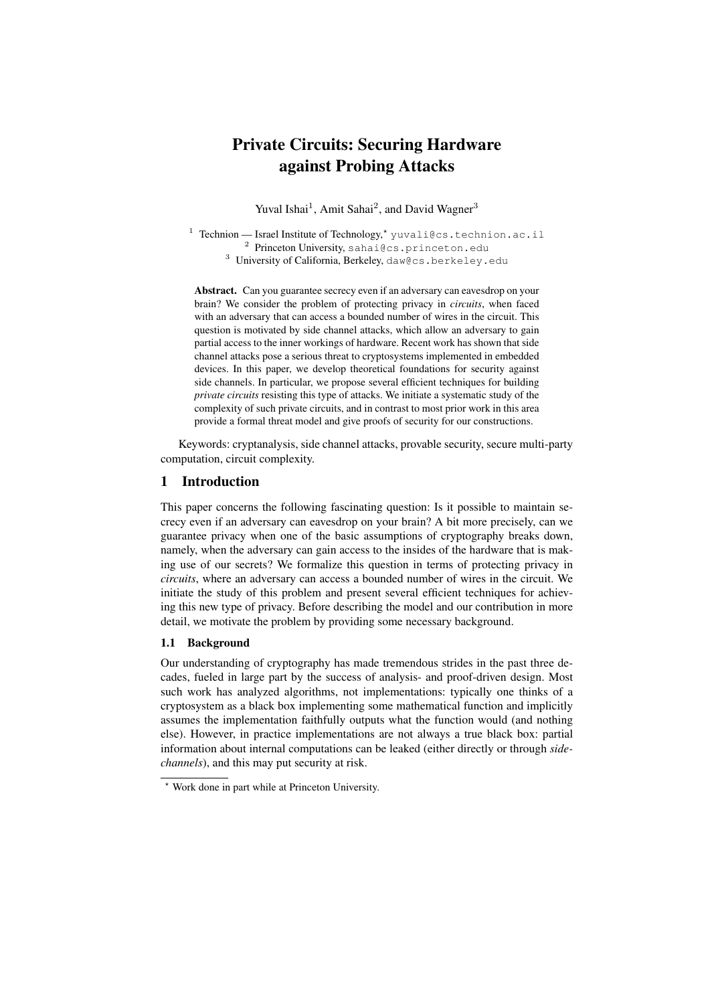# Private Circuits: Securing Hardware against Probing Attacks

Yuval Ishai<sup>1</sup>, Amit Sahai<sup>2</sup>, and David Wagner<sup>3</sup>

<sup>1</sup> Technion — Israel Institute of Technology,<sup>\*</sup> yuvali@cs.technion.ac.il <sup>2</sup> Princeton University, sahai@cs.princeton.edu <sup>3</sup> University of California, Berkeley, daw@cs.berkeley.edu

Abstract. Can you guarantee secrecy even if an adversary can eavesdrop on your brain? We consider the problem of protecting privacy in *circuits*, when faced with an adversary that can access a bounded number of wires in the circuit. This question is motivated by side channel attacks, which allow an adversary to gain partial access to the inner workings of hardware. Recent work has shown that side channel attacks pose a serious threat to cryptosystems implemented in embedded devices. In this paper, we develop theoretical foundations for security against side channels. In particular, we propose several efficient techniques for building *private circuits* resisting this type of attacks. We initiate a systematic study of the complexity of such private circuits, and in contrast to most prior work in this area provide a formal threat model and give proofs of security for our constructions.

Keywords: cryptanalysis, side channel attacks, provable security, secure multi-party computation, circuit complexity.

### 1 Introduction

This paper concerns the following fascinating question: Is it possible to maintain secrecy even if an adversary can eavesdrop on your brain? A bit more precisely, can we guarantee privacy when one of the basic assumptions of cryptography breaks down, namely, when the adversary can gain access to the insides of the hardware that is making use of our secrets? We formalize this question in terms of protecting privacy in *circuits*, where an adversary can access a bounded number of wires in the circuit. We initiate the study of this problem and present several efficient techniques for achieving this new type of privacy. Before describing the model and our contribution in more detail, we motivate the problem by providing some necessary background.

#### 1.1 Background

Our understanding of cryptography has made tremendous strides in the past three decades, fueled in large part by the success of analysis- and proof-driven design. Most such work has analyzed algorithms, not implementations: typically one thinks of a cryptosystem as a black box implementing some mathematical function and implicitly assumes the implementation faithfully outputs what the function would (and nothing else). However, in practice implementations are not always a true black box: partial information about internal computations can be leaked (either directly or through *sidechannels*), and this may put security at risk.

<sup>?</sup> Work done in part while at Princeton University.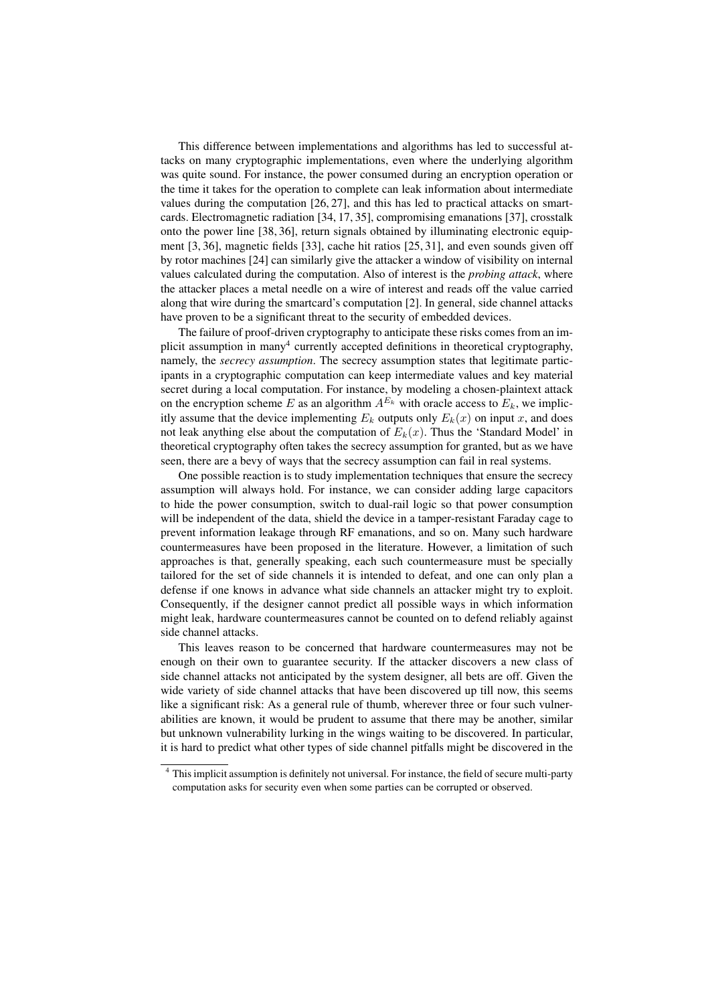This difference between implementations and algorithms has led to successful attacks on many cryptographic implementations, even where the underlying algorithm was quite sound. For instance, the power consumed during an encryption operation or the time it takes for the operation to complete can leak information about intermediate values during the computation [26, 27], and this has led to practical attacks on smartcards. Electromagnetic radiation [34, 17, 35], compromising emanations [37], crosstalk onto the power line [38, 36], return signals obtained by illuminating electronic equipment [3, 36], magnetic fields [33], cache hit ratios [25, 31], and even sounds given off by rotor machines [24] can similarly give the attacker a window of visibility on internal values calculated during the computation. Also of interest is the *probing attack*, where the attacker places a metal needle on a wire of interest and reads off the value carried along that wire during the smartcard's computation [2]. In general, side channel attacks have proven to be a significant threat to the security of embedded devices.

The failure of proof-driven cryptography to anticipate these risks comes from an implicit assumption in many<sup>4</sup> currently accepted definitions in theoretical cryptography, namely, the *secrecy assumption*. The secrecy assumption states that legitimate participants in a cryptographic computation can keep intermediate values and key material secret during a local computation. For instance, by modeling a chosen-plaintext attack on the encryption scheme E as an algorithm  $A^{E_k}$  with oracle access to  $E_k$ , we implicitly assume that the device implementing  $E_k$  outputs only  $E_k(x)$  on input x, and does not leak anything else about the computation of  $E_k(x)$ . Thus the 'Standard Model' in theoretical cryptography often takes the secrecy assumption for granted, but as we have seen, there are a bevy of ways that the secrecy assumption can fail in real systems.

One possible reaction is to study implementation techniques that ensure the secrecy assumption will always hold. For instance, we can consider adding large capacitors to hide the power consumption, switch to dual-rail logic so that power consumption will be independent of the data, shield the device in a tamper-resistant Faraday cage to prevent information leakage through RF emanations, and so on. Many such hardware countermeasures have been proposed in the literature. However, a limitation of such approaches is that, generally speaking, each such countermeasure must be specially tailored for the set of side channels it is intended to defeat, and one can only plan a defense if one knows in advance what side channels an attacker might try to exploit. Consequently, if the designer cannot predict all possible ways in which information might leak, hardware countermeasures cannot be counted on to defend reliably against side channel attacks.

This leaves reason to be concerned that hardware countermeasures may not be enough on their own to guarantee security. If the attacker discovers a new class of side channel attacks not anticipated by the system designer, all bets are off. Given the wide variety of side channel attacks that have been discovered up till now, this seems like a significant risk: As a general rule of thumb, wherever three or four such vulnerabilities are known, it would be prudent to assume that there may be another, similar but unknown vulnerability lurking in the wings waiting to be discovered. In particular, it is hard to predict what other types of side channel pitfalls might be discovered in the

<sup>&</sup>lt;sup>4</sup> This implicit assumption is definitely not universal. For instance, the field of secure multi-party computation asks for security even when some parties can be corrupted or observed.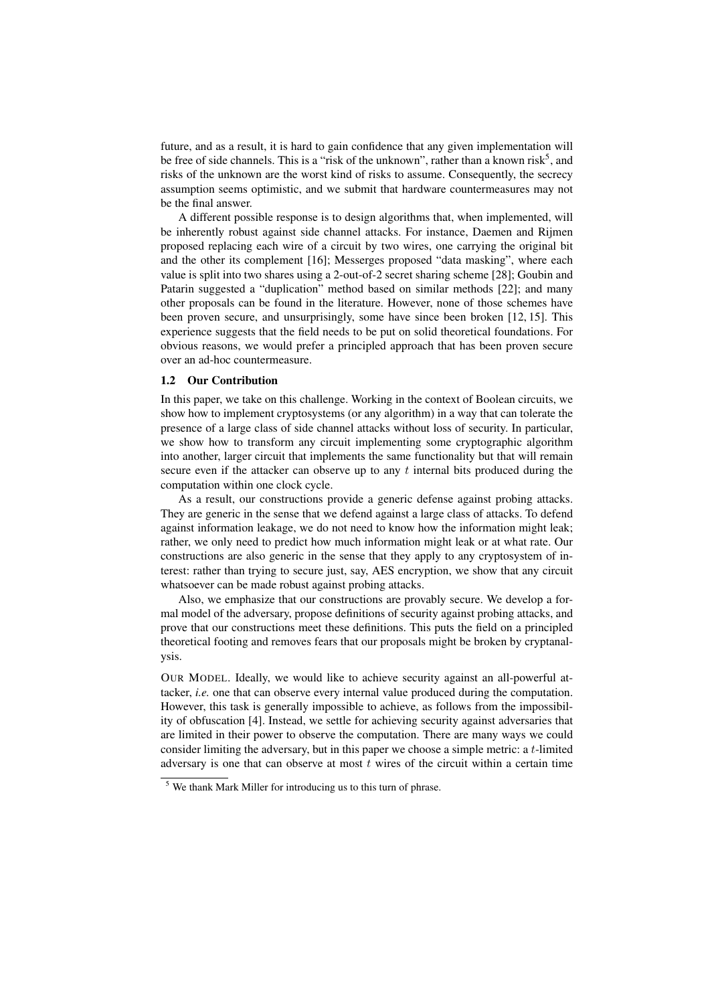future, and as a result, it is hard to gain confidence that any given implementation will be free of side channels. This is a "risk of the unknown", rather than a known risk<sup>5</sup>, and risks of the unknown are the worst kind of risks to assume. Consequently, the secrecy assumption seems optimistic, and we submit that hardware countermeasures may not be the final answer.

A different possible response is to design algorithms that, when implemented, will be inherently robust against side channel attacks. For instance, Daemen and Rijmen proposed replacing each wire of a circuit by two wires, one carrying the original bit and the other its complement [16]; Messerges proposed "data masking", where each value is split into two shares using a 2-out-of-2 secret sharing scheme [28]; Goubin and Patarin suggested a "duplication" method based on similar methods [22]; and many other proposals can be found in the literature. However, none of those schemes have been proven secure, and unsurprisingly, some have since been broken [12, 15]. This experience suggests that the field needs to be put on solid theoretical foundations. For obvious reasons, we would prefer a principled approach that has been proven secure over an ad-hoc countermeasure.

#### 1.2 Our Contribution

In this paper, we take on this challenge. Working in the context of Boolean circuits, we show how to implement cryptosystems (or any algorithm) in a way that can tolerate the presence of a large class of side channel attacks without loss of security. In particular, we show how to transform any circuit implementing some cryptographic algorithm into another, larger circuit that implements the same functionality but that will remain secure even if the attacker can observe up to any  $t$  internal bits produced during the computation within one clock cycle.

As a result, our constructions provide a generic defense against probing attacks. They are generic in the sense that we defend against a large class of attacks. To defend against information leakage, we do not need to know how the information might leak; rather, we only need to predict how much information might leak or at what rate. Our constructions are also generic in the sense that they apply to any cryptosystem of interest: rather than trying to secure just, say, AES encryption, we show that any circuit whatsoever can be made robust against probing attacks.

Also, we emphasize that our constructions are provably secure. We develop a formal model of the adversary, propose definitions of security against probing attacks, and prove that our constructions meet these definitions. This puts the field on a principled theoretical footing and removes fears that our proposals might be broken by cryptanalysis.

OUR MODEL. Ideally, we would like to achieve security against an all-powerful attacker, *i.e.* one that can observe every internal value produced during the computation. However, this task is generally impossible to achieve, as follows from the impossibility of obfuscation [4]. Instead, we settle for achieving security against adversaries that are limited in their power to observe the computation. There are many ways we could consider limiting the adversary, but in this paper we choose a simple metric: a t-limited adversary is one that can observe at most  $t$  wires of the circuit within a certain time

 $<sup>5</sup>$  We thank Mark Miller for introducing us to this turn of phrase.</sup>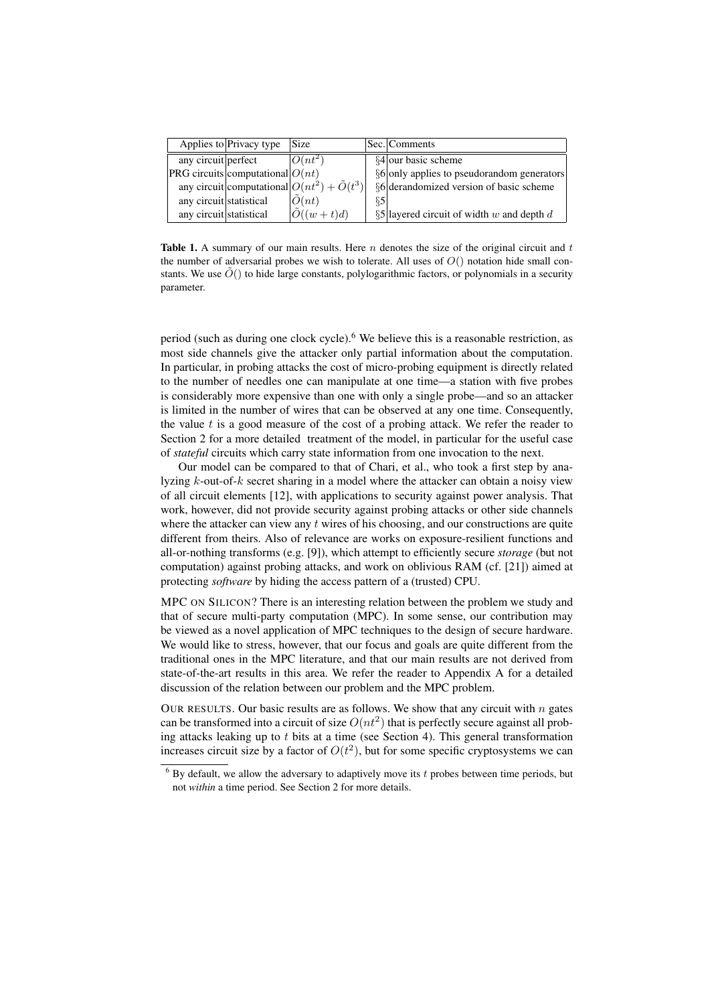|                         | Applies to Privacy type                   | Size                                                 |    | Sec. Comments                              |
|-------------------------|-------------------------------------------|------------------------------------------------------|----|--------------------------------------------|
| any circuit perfect     |                                           | $ O(nt^2) $                                          |    | §4 our basic scheme                        |
|                         | <b>PRG</b> circuits computational $O(nt)$ |                                                      |    | §6 only applies to pseudorandom generators |
|                         |                                           | any circuit computational $O(nt^2) + \tilde{O}(t^3)$ |    | §6 derandomized version of basic scheme    |
| any circuit statistical |                                           | $\tilde{O}(nt)$                                      | §5 |                                            |
| any circuit statistical |                                           | $ \tilde{O}((w+t)d) $                                |    | §5 layered circuit of width w and depth d  |

**Table 1.** A summary of our main results. Here *n* denotes the size of the original circuit and t the number of adversarial probes we wish to tolerate. All uses of  $O($ ) notation hide small constants. We use  $\tilde{O}()$  to hide large constants, polylogarithmic factors, or polynomials in a security parameter.

period (such as during one clock cycle).<sup>6</sup> We believe this is a reasonable restriction, as most side channels give the attacker only partial information about the computation. In particular, in probing attacks the cost of micro-probing equipment is directly related to the number of needles one can manipulate at one time—a station with five probes is considerably more expensive than one with only a single probe—and so an attacker is limited in the number of wires that can be observed at any one time. Consequently, the value  $t$  is a good measure of the cost of a probing attack. We refer the reader to Section 2 for a more detailed treatment of the model, in particular for the useful case of *stateful* circuits which carry state information from one invocation to the next.

Our model can be compared to that of Chari, et al., who took a first step by analyzing k-out-of-k secret sharing in a model where the attacker can obtain a noisy view of all circuit elements [12], with applications to security against power analysis. That work, however, did not provide security against probing attacks or other side channels where the attacker can view any t wires of his choosing, and our constructions are quite different from theirs. Also of relevance are works on exposure-resilient functions and all-or-nothing transforms (e.g. [9]), which attempt to efficiently secure *storage* (but not computation) against probing attacks, and work on oblivious RAM (cf. [21]) aimed at protecting *software* by hiding the access pattern of a (trusted) CPU.

MPC ON SILICON? There is an interesting relation between the problem we study and that of secure multi-party computation (MPC). In some sense, our contribution may be viewed as a novel application of MPC techniques to the design of secure hardware. We would like to stress, however, that our focus and goals are quite different from the traditional ones in the MPC literature, and that our main results are not derived from state-of-the-art results in this area. We refer the reader to Appendix A for a detailed discussion of the relation between our problem and the MPC problem.

OUR RESULTS. Our basic results are as follows. We show that any circuit with  $n$  gates can be transformed into a circuit of size  $O(nt^2)$  that is perfectly secure against all probing attacks leaking up to  $t$  bits at a time (see Section 4). This general transformation increases circuit size by a factor of  $O(t^2)$ , but for some specific cryptosystems we can

 $6$  By default, we allow the adversary to adaptively move its t probes between time periods, but not *within* a time period. See Section 2 for more details.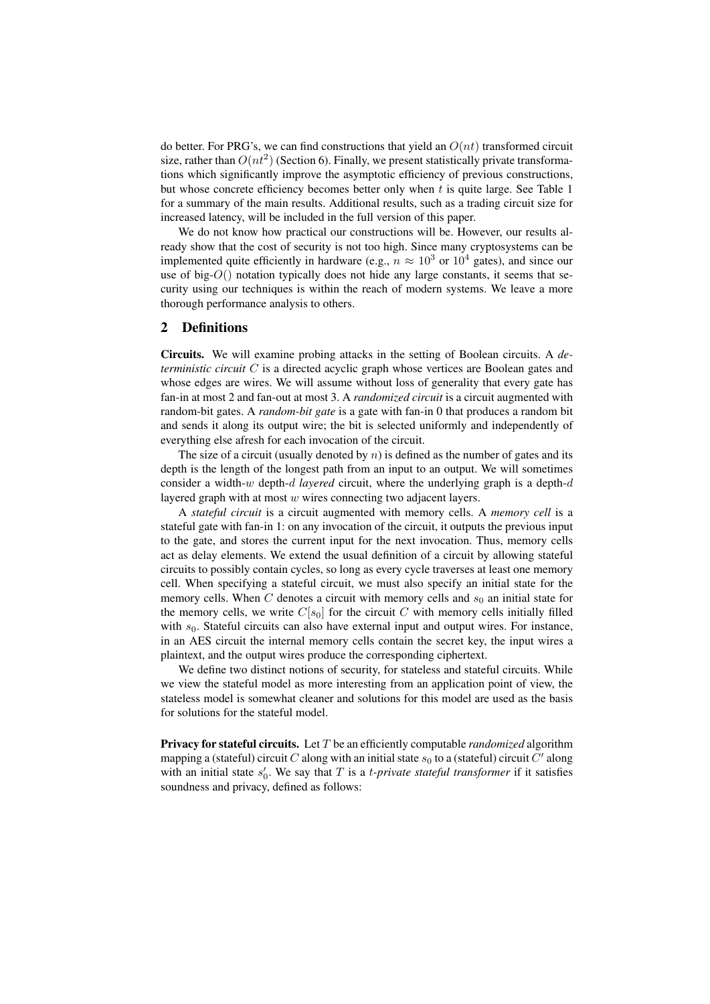do better. For PRG's, we can find constructions that yield an  $O(nt)$  transformed circuit size, rather than  $O(nt^2)$  (Section 6). Finally, we present statistically private transformations which significantly improve the asymptotic efficiency of previous constructions, but whose concrete efficiency becomes better only when  $t$  is quite large. See Table 1 for a summary of the main results. Additional results, such as a trading circuit size for increased latency, will be included in the full version of this paper.

We do not know how practical our constructions will be. However, our results already show that the cost of security is not too high. Since many cryptosystems can be implemented quite efficiently in hardware (e.g.,  $n \approx 10^3$  or  $10^4$  gates), and since our use of big- $O($ ) notation typically does not hide any large constants, it seems that security using our techniques is within the reach of modern systems. We leave a more thorough performance analysis to others.

#### 2 Definitions

Circuits. We will examine probing attacks in the setting of Boolean circuits. A *deterministic circuit* C is a directed acyclic graph whose vertices are Boolean gates and whose edges are wires. We will assume without loss of generality that every gate has fan-in at most 2 and fan-out at most 3. A *randomized circuit* is a circuit augmented with random-bit gates. A *random-bit gate* is a gate with fan-in 0 that produces a random bit and sends it along its output wire; the bit is selected uniformly and independently of everything else afresh for each invocation of the circuit.

The size of a circuit (usually denoted by n) is defined as the number of gates and its depth is the length of the longest path from an input to an output. We will sometimes consider a width-w depth-d *layered* circuit, where the underlying graph is a depth-d layered graph with at most  $w$  wires connecting two adjacent layers.

A *stateful circuit* is a circuit augmented with memory cells. A *memory cell* is a stateful gate with fan-in 1: on any invocation of the circuit, it outputs the previous input to the gate, and stores the current input for the next invocation. Thus, memory cells act as delay elements. We extend the usual definition of a circuit by allowing stateful circuits to possibly contain cycles, so long as every cycle traverses at least one memory cell. When specifying a stateful circuit, we must also specify an initial state for the memory cells. When C denotes a circuit with memory cells and  $s<sub>0</sub>$  an initial state for the memory cells, we write  $C[s_0]$  for the circuit C with memory cells initially filled with  $s_0$ . Stateful circuits can also have external input and output wires. For instance, in an AES circuit the internal memory cells contain the secret key, the input wires a plaintext, and the output wires produce the corresponding ciphertext.

We define two distinct notions of security, for stateless and stateful circuits. While we view the stateful model as more interesting from an application point of view, the stateless model is somewhat cleaner and solutions for this model are used as the basis for solutions for the stateful model.

Privacy for stateful circuits. Let T be an efficiently computable *randomized* algorithm mapping a (stateful) circuit  $C$  along with an initial state  $s_0$  to a (stateful) circuit  $C'$  along with an initial state  $s'_0$ . We say that T is a *t-private stateful transformer* if it satisfies soundness and privacy, defined as follows: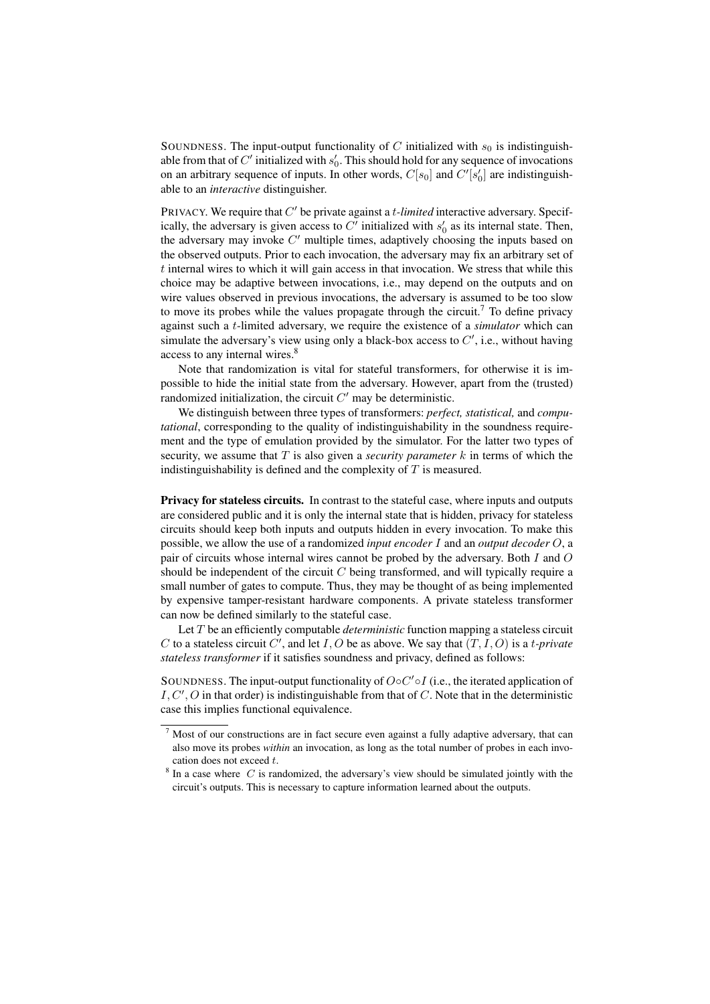SOUNDNESS. The input-output functionality of C initialized with  $s_0$  is indistinguishable from that of  $C'$  initialized with  $s'_0$ . This should hold for any sequence of invocations on an arbitrary sequence of inputs. In other words,  $C[s_0]$  and  $C'[s'_0]$  are indistinguishable to an *interactive* distinguisher.

PRIVACY. We require that C' be private against a t-limited interactive adversary. Specifically, the adversary is given access to  $C'$  initialized with  $s'_0$  as its internal state. Then, the adversary may invoke  $C'$  multiple times, adaptively choosing the inputs based on the observed outputs. Prior to each invocation, the adversary may fix an arbitrary set of  $t$  internal wires to which it will gain access in that invocation. We stress that while this choice may be adaptive between invocations, i.e., may depend on the outputs and on wire values observed in previous invocations, the adversary is assumed to be too slow to move its probes while the values propagate through the circuit.<sup>7</sup> To define privacy against such a t-limited adversary, we require the existence of a *simulator* which can simulate the adversary's view using only a black-box access to  $C'$ , i.e., without having access to any internal wires.<sup>8</sup>

Note that randomization is vital for stateful transformers, for otherwise it is impossible to hide the initial state from the adversary. However, apart from the (trusted) randomized initialization, the circuit  $C'$  may be deterministic.

We distinguish between three types of transformers: *perfect, statistical,* and *computational*, corresponding to the quality of indistinguishability in the soundness requirement and the type of emulation provided by the simulator. For the latter two types of security, we assume that T is also given a *security parameter* k in terms of which the indistinguishability is defined and the complexity of  $T$  is measured.

Privacy for stateless circuits. In contrast to the stateful case, where inputs and outputs are considered public and it is only the internal state that is hidden, privacy for stateless circuits should keep both inputs and outputs hidden in every invocation. To make this possible, we allow the use of a randomized *input encoder* I and an *output decoder* O, a pair of circuits whose internal wires cannot be probed by the adversary. Both I and O should be independent of the circuit  $C$  being transformed, and will typically require a small number of gates to compute. Thus, they may be thought of as being implemented by expensive tamper-resistant hardware components. A private stateless transformer can now be defined similarly to the stateful case.

Let T be an efficiently computable *deterministic* function mapping a stateless circuit  $C$  to a stateless circuit  $C'$ , and let  $I, O$  be as above. We say that  $(T, I, O)$  is a *t-private stateless transformer* if it satisfies soundness and privacy, defined as follows:

SOUNDNESS. The input-output functionality of  $O \circ C' \circ I$  (i.e., the iterated application of  $I, C', O$  in that order) is indistinguishable from that of  $C$ . Note that in the deterministic case this implies functional equivalence.

<sup>7</sup> Most of our constructions are in fact secure even against a fully adaptive adversary, that can also move its probes *within* an invocation, as long as the total number of probes in each invocation does not exceed t.

 $8 \text{ In a case where } C \text{ is randomized, the adversary's view should be simulated jointly with the$ circuit's outputs. This is necessary to capture information learned about the outputs.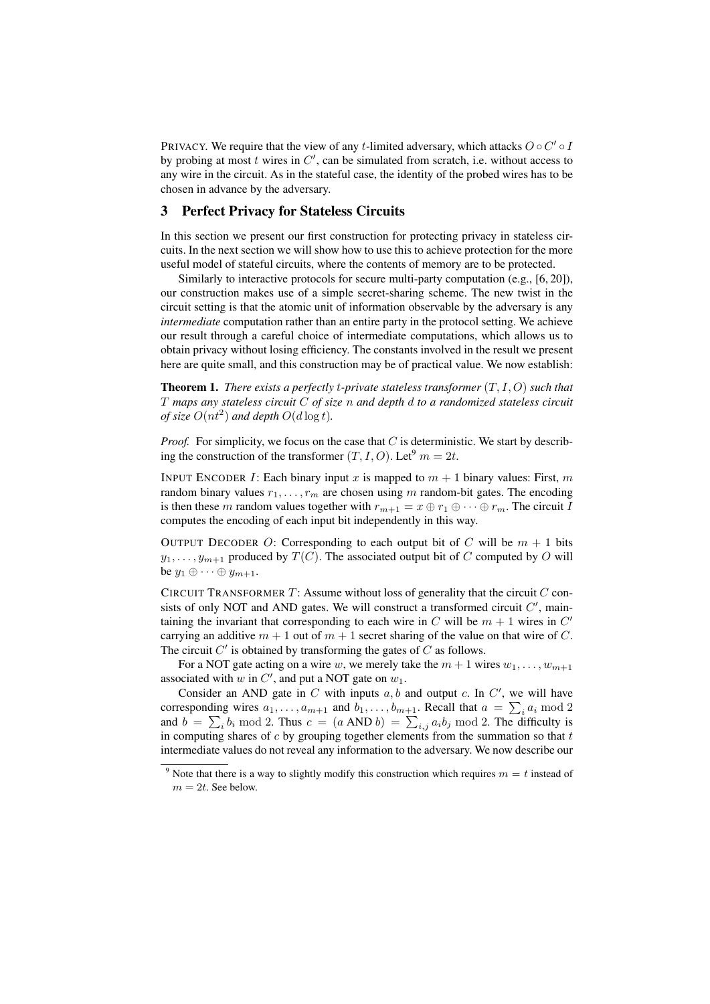PRIVACY. We require that the view of any t-limited adversary, which attacks  $O \circ C' \circ I$ by probing at most  $t$  wires in  $C'$ , can be simulated from scratch, i.e. without access to any wire in the circuit. As in the stateful case, the identity of the probed wires has to be chosen in advance by the adversary.

# 3 Perfect Privacy for Stateless Circuits

In this section we present our first construction for protecting privacy in stateless circuits. In the next section we will show how to use this to achieve protection for the more useful model of stateful circuits, where the contents of memory are to be protected.

Similarly to interactive protocols for secure multi-party computation (e.g., [6, 20]), our construction makes use of a simple secret-sharing scheme. The new twist in the circuit setting is that the atomic unit of information observable by the adversary is any *intermediate* computation rather than an entire party in the protocol setting. We achieve our result through a careful choice of intermediate computations, which allows us to obtain privacy without losing efficiency. The constants involved in the result we present here are quite small, and this construction may be of practical value. We now establish:

Theorem 1. *There exists a perfectly* t*-private stateless transformer* (T, I, O) *such that* T *maps any stateless circuit* C *of size* n *and depth* d *to a randomized stateless circuit of size*  $O(nt^2)$  *and depth*  $O(d \log t)$ *.* 

*Proof.* For simplicity, we focus on the case that  $C$  is deterministic. We start by describing the construction of the transformer  $(T, I, O)$ . Let<sup>9</sup>  $m = 2t$ .

INPUT ENCODER I: Each binary input x is mapped to  $m + 1$  binary values: First, m random binary values  $r_1, \ldots, r_m$  are chosen using m random-bit gates. The encoding is then these m random values together with  $r_{m+1} = x \oplus r_1 \oplus \cdots \oplus r_m$ . The circuit I computes the encoding of each input bit independently in this way.

OUTPUT DECODER O: Corresponding to each output bit of C will be  $m + 1$  bits  $y_1, \ldots, y_{m+1}$  produced by  $T(C)$ . The associated output bit of C computed by O will be  $y_1 \oplus \cdots \oplus y_{m+1}$ .

CIRCUIT TRANSFORMER  $T$ : Assume without loss of generality that the circuit  $C$  consists of only NOT and AND gates. We will construct a transformed circuit  $C'$ , maintaining the invariant that corresponding to each wire in C will be  $m + 1$  wires in C' carrying an additive  $m + 1$  out of  $m + 1$  secret sharing of the value on that wire of C. The circuit  $C'$  is obtained by transforming the gates of  $C$  as follows.

For a NOT gate acting on a wire w, we merely take the  $m + 1$  wires  $w_1, \ldots, w_{m+1}$ associated with  $w$  in  $C'$ , and put a NOT gate on  $w_1$ .

Consider an AND gate in  $C$  with inputs  $a, b$  and output  $c$ . In  $C'$ , we will have corresponding wires  $a_1, \ldots, a_{m+1}$  and  $b_1, \ldots, b_{m+1}$ . Recall that  $a = \sum_i a_i \bmod 2$ and  $b = \sum_i b_i \bmod 2$ . Thus  $c = (a \bmod b) = \sum_{i,j} a_i b_j \bmod 2$ . The difficulty is in computing shares of  $c$  by grouping together elements from the summation so that  $t$ intermediate values do not reveal any information to the adversary. We now describe our

<sup>&</sup>lt;sup>9</sup> Note that there is a way to slightly modify this construction which requires  $m = t$  instead of  $m = 2t$ . See below.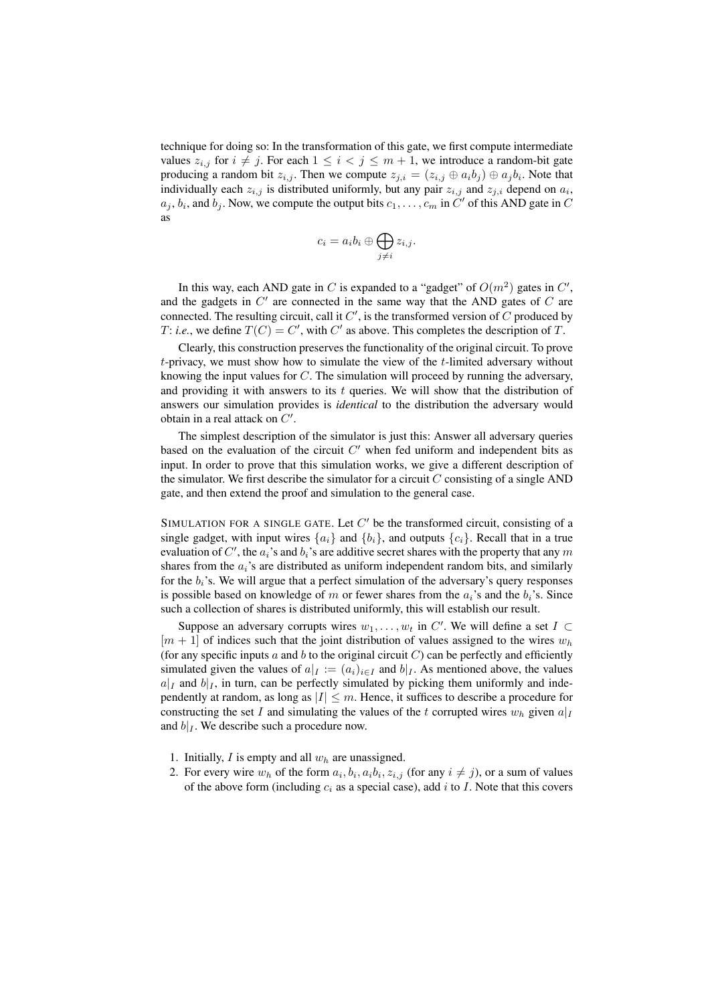technique for doing so: In the transformation of this gate, we first compute intermediate values  $z_{i,j}$  for  $i \neq j$ . For each  $1 \leq i < j \leq m+1$ , we introduce a random-bit gate producing a random bit  $z_{i,j}$ . Then we compute  $z_{j,i} = (z_{i,j} \oplus a_i b_j) \oplus a_j b_i$ . Note that individually each  $z_{i,j}$  is distributed uniformly, but any pair  $z_{i,j}$  and  $z_{j,i}$  depend on  $a_i$ ,  $a_j, b_i$ , and  $b_j$ . Now, we compute the output bits  $c_1, \ldots, c_m$  in  $\tilde{C}'$  of this AND gate in C as

$$
c_i=a_ib_i\oplus\bigoplus_{j\neq i}z_{i,j}.
$$

In this way, each AND gate in C is expanded to a "gadget" of  $O(m^2)$  gates in C', and the gadgets in  $C'$  are connected in the same way that the AND gates of  $C$  are connected. The resulting circuit, call it  $C'$ , is the transformed version of  $C$  produced by T: *i.e.*, we define  $T(C) = C'$ , with C' as above. This completes the description of T.

Clearly, this construction preserves the functionality of the original circuit. To prove t-privacy, we must show how to simulate the view of the t-limited adversary without knowing the input values for C. The simulation will proceed by running the adversary, and providing it with answers to its  $t$  queries. We will show that the distribution of answers our simulation provides is *identical* to the distribution the adversary would obtain in a real attack on  $C'$ .

The simplest description of the simulator is just this: Answer all adversary queries based on the evaluation of the circuit  $C'$  when fed uniform and independent bits as input. In order to prove that this simulation works, we give a different description of the simulator. We first describe the simulator for a circuit  $C$  consisting of a single AND gate, and then extend the proof and simulation to the general case.

SIMULATION FOR A SINGLE GATE. Let  $C'$  be the transformed circuit, consisting of a single gadget, with input wires  $\{a_i\}$  and  $\{b_i\}$ , and outputs  $\{c_i\}$ . Recall that in a true evaluation of C', the  $a_i$ 's and  $b_i$ 's are additive secret shares with the property that any m shares from the  $a_i$ 's are distributed as uniform independent random bits, and similarly for the  $b_i$ 's. We will argue that a perfect simulation of the adversary's query responses is possible based on knowledge of m or fewer shares from the  $a_i$ 's and the  $b_i$ 's. Since such a collection of shares is distributed uniformly, this will establish our result.

Suppose an adversary corrupts wires  $w_1, \ldots, w_t$  in C'. We will define a set  $I \subset$  $[m+1]$  of indices such that the joint distribution of values assigned to the wires  $w_h$ (for any specific inputs a and b to the original circuit C) can be perfectly and efficiently simulated given the values of  $a|_I := (a_i)_{i \in I}$  and  $b|_I$ . As mentioned above, the values  $a|_I$  and  $b|_I$ , in turn, can be perfectly simulated by picking them uniformly and independently at random, as long as  $|I| \leq m$ . Hence, it suffices to describe a procedure for constructing the set I and simulating the values of the t corrupted wires  $w_h$  given  $a|_I$ and  $b|_I$ . We describe such a procedure now.

- 1. Initially, I is empty and all  $w<sub>h</sub>$  are unassigned.
- 2. For every wire  $w_h$  of the form  $a_i, b_i, a_i b_i, z_{i,j}$  (for any  $i \neq j$ ), or a sum of values of the above form (including  $c_i$  as a special case), add i to I. Note that this covers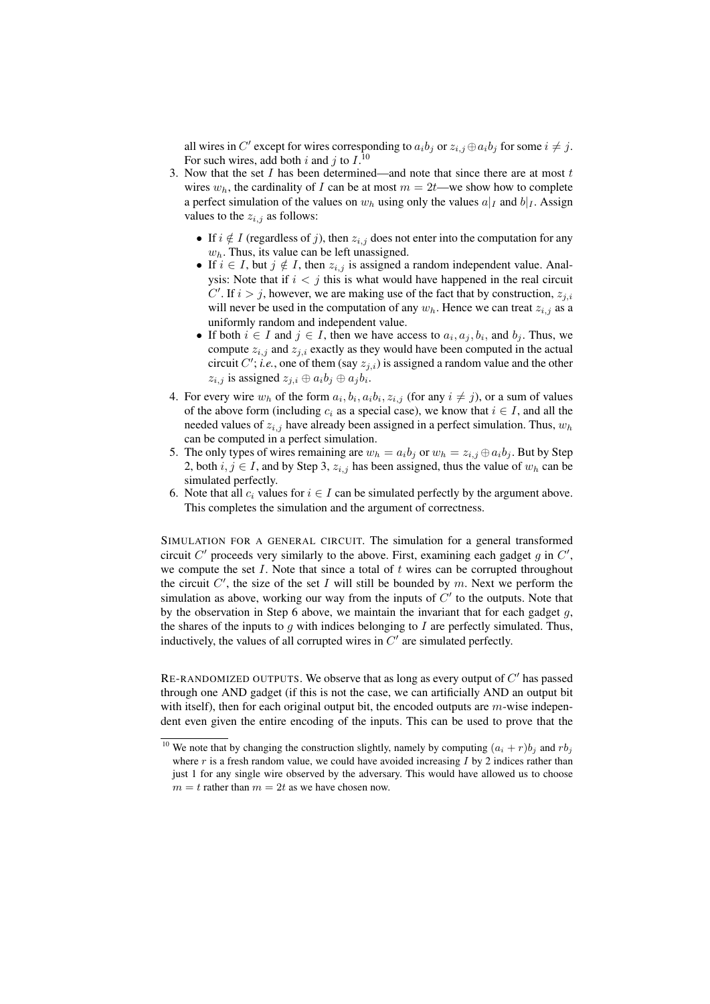all wires in C' except for wires corresponding to  $a_i b_j$  or  $z_{i,j} \oplus a_i b_j$  for some  $i \neq j$ . For such wires, add both i and j to  $I^{10}$ .

- 3. Now that the set I has been determined—and note that since there are at most  $t$ wires  $w_h$ , the cardinality of I can be at most  $m = 2t$ —we show how to complete a perfect simulation of the values on  $w_h$  using only the values  $a|_I$  and  $b|_I$ . Assign values to the  $z_{i,j}$  as follows:
	- If  $i \notin I$  (regardless of j), then  $z_{i,j}$  does not enter into the computation for any  $w<sub>h</sub>$ . Thus, its value can be left unassigned.
	- If  $i \in I$ , but  $j \notin I$ , then  $z_{i,j}$  is assigned a random independent value. Analysis: Note that if  $i < j$  this is what would have happened in the real circuit C'. If  $i > j$ , however, we are making use of the fact that by construction,  $z_{j,i}$ will never be used in the computation of any  $w_h$ . Hence we can treat  $z_{i,j}$  as a uniformly random and independent value.
	- If both  $i \in I$  and  $j \in I$ , then we have access to  $a_i, a_j, b_i$ , and  $b_j$ . Thus, we compute  $z_{i,j}$  and  $z_{j,i}$  exactly as they would have been computed in the actual circuit  $C'$ ; *i.e.*, one of them (say  $z_{j,i}$ ) is assigned a random value and the other  $z_{i,j}$  is assigned  $z_{j,i} \oplus a_i b_j \oplus a_j b_i$ .
- 4. For every wire  $w_h$  of the form  $a_i, b_i, a_i b_i, z_{i,j}$  (for any  $i \neq j$ ), or a sum of values of the above form (including  $c_i$  as a special case), we know that  $i \in I$ , and all the needed values of  $z_{i,j}$  have already been assigned in a perfect simulation. Thus,  $w_h$ can be computed in a perfect simulation.
- 5. The only types of wires remaining are  $w_h = a_i b_j$  or  $w_h = z_{i,j} \oplus a_i b_j$ . But by Step 2, both  $i, j \in I$ , and by Step 3,  $z_{i,j}$  has been assigned, thus the value of  $w_h$  can be simulated perfectly.
- 6. Note that all  $c_i$  values for  $i \in I$  can be simulated perfectly by the argument above. This completes the simulation and the argument of correctness.

SIMULATION FOR A GENERAL CIRCUIT. The simulation for a general transformed circuit  $C'$  proceeds very similarly to the above. First, examining each gadget  $g$  in  $C'$ , we compute the set I. Note that since a total of  $t$  wires can be corrupted throughout the circuit  $C'$ , the size of the set I will still be bounded by m. Next we perform the simulation as above, working our way from the inputs of  $C'$  to the outputs. Note that by the observation in Step 6 above, we maintain the invariant that for each gadget  $q$ , the shares of the inputs to  $q$  with indices belonging to  $I$  are perfectly simulated. Thus, inductively, the values of all corrupted wires in  $C'$  are simulated perfectly.

RE-RANDOMIZED OUTPUTS. We observe that as long as every output of  $C'$  has passed through one AND gadget (if this is not the case, we can artificially AND an output bit with itself), then for each original output bit, the encoded outputs are  $m$ -wise independent even given the entire encoding of the inputs. This can be used to prove that the

<sup>&</sup>lt;sup>10</sup> We note that by changing the construction slightly, namely by computing  $(a_i + r)b_j$  and  $rb_j$ where  $r$  is a fresh random value, we could have avoided increasing  $I$  by 2 indices rather than just 1 for any single wire observed by the adversary. This would have allowed us to choose  $m = t$  rather than  $m = 2t$  as we have chosen now.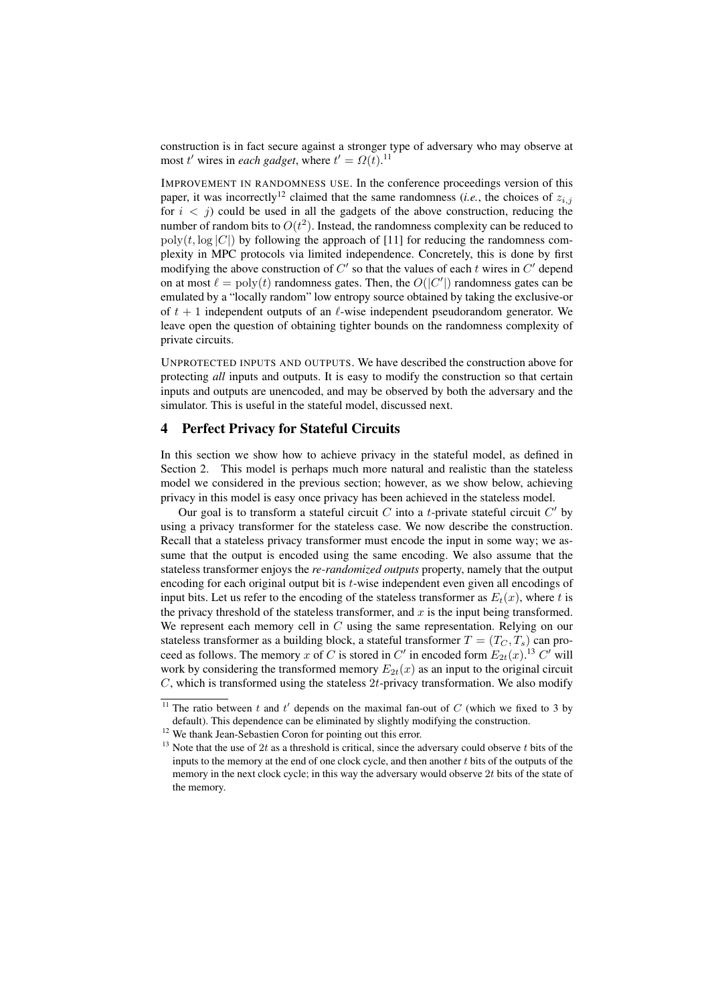construction is in fact secure against a stronger type of adversary who may observe at most t' wires in *each gadget*, where  $t' = \Omega(t)$ .<sup>11</sup>

IMPROVEMENT IN RANDOMNESS USE. In the conference proceedings version of this paper, it was incorrectly<sup>12</sup> claimed that the same randomness (*i.e.*, the choices of  $z_{i,j}$ for  $i < j$ ) could be used in all the gadgets of the above construction, reducing the number of random bits to  $O(t^2)$ . Instead, the randomness complexity can be reduced to  $poly(t, \log |C|)$  by following the approach of [11] for reducing the randomness complexity in MPC protocols via limited independence. Concretely, this is done by first modifying the above construction of  $C'$  so that the values of each t wires in  $C'$  depend on at most  $\ell = \text{poly}(t)$  randomness gates. Then, the  $O(|C'|)$  randomness gates can be emulated by a "locally random" low entropy source obtained by taking the exclusive-or of  $t + 1$  independent outputs of an  $\ell$ -wise independent pseudorandom generator. We leave open the question of obtaining tighter bounds on the randomness complexity of private circuits.

UNPROTECTED INPUTS AND OUTPUTS. We have described the construction above for protecting *all* inputs and outputs. It is easy to modify the construction so that certain inputs and outputs are unencoded, and may be observed by both the adversary and the simulator. This is useful in the stateful model, discussed next.

# 4 Perfect Privacy for Stateful Circuits

In this section we show how to achieve privacy in the stateful model, as defined in Section 2. This model is perhaps much more natural and realistic than the stateless model we considered in the previous section; however, as we show below, achieving privacy in this model is easy once privacy has been achieved in the stateless model.

Our goal is to transform a stateful circuit  $C$  into a t-private stateful circuit  $C'$  by using a privacy transformer for the stateless case. We now describe the construction. Recall that a stateless privacy transformer must encode the input in some way; we assume that the output is encoded using the same encoding. We also assume that the stateless transformer enjoys the *re-randomized outputs* property, namely that the output encoding for each original output bit is t-wise independent even given all encodings of input bits. Let us refer to the encoding of the stateless transformer as  $E_t(x)$ , where t is the privacy threshold of the stateless transformer, and  $x$  is the input being transformed. We represent each memory cell in  $C$  using the same representation. Relying on our stateless transformer as a building block, a stateful transformer  $T = (T_C, T_s)$  can proceed as follows. The memory x of C is stored in C' in encoded form  $E_{2t}(x)$ .<sup>13</sup> C' will work by considering the transformed memory  $E_{2t}(x)$  as an input to the original circuit  $C$ , which is transformed using the stateless  $2t$ -privacy transformation. We also modify

<sup>&</sup>lt;sup>11</sup> The ratio between t and t' depends on the maximal fan-out of C (which we fixed to 3 by default). This dependence can be eliminated by slightly modifying the construction.

<sup>&</sup>lt;sup>12</sup> We thank Jean-Sebastien Coron for pointing out this error.

<sup>&</sup>lt;sup>13</sup> Note that the use of 2t as a threshold is critical, since the adversary could observe t bits of the inputs to the memory at the end of one clock cycle, and then another  $t$  bits of the outputs of the memory in the next clock cycle; in this way the adversary would observe 2t bits of the state of the memory.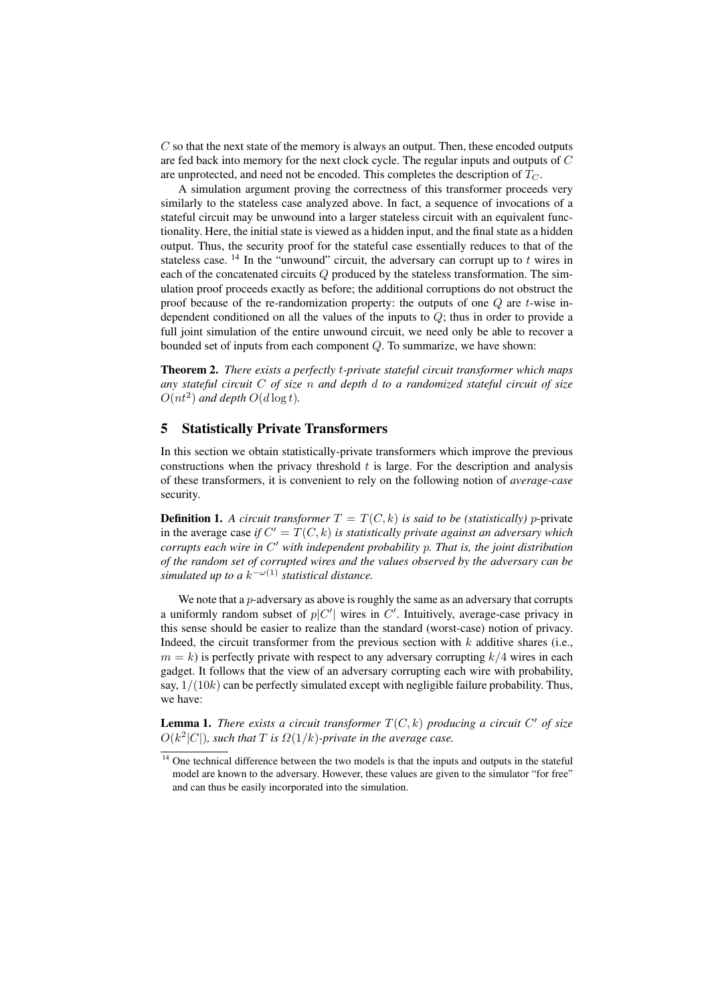$C$  so that the next state of the memory is always an output. Then, these encoded outputs are fed back into memory for the next clock cycle. The regular inputs and outputs of C are unprotected, and need not be encoded. This completes the description of  $T_C$ .

A simulation argument proving the correctness of this transformer proceeds very similarly to the stateless case analyzed above. In fact, a sequence of invocations of a stateful circuit may be unwound into a larger stateless circuit with an equivalent functionality. Here, the initial state is viewed as a hidden input, and the final state as a hidden output. Thus, the security proof for the stateful case essentially reduces to that of the stateless case. <sup>14</sup> In the "unwound" circuit, the adversary can corrupt up to t wires in each of the concatenated circuits  $Q$  produced by the stateless transformation. The simulation proof proceeds exactly as before; the additional corruptions do not obstruct the proof because of the re-randomization property: the outputs of one  $Q$  are  $t$ -wise independent conditioned on all the values of the inputs to  $Q$ ; thus in order to provide a full joint simulation of the entire unwound circuit, we need only be able to recover a bounded set of inputs from each component  $Q$ . To summarize, we have shown:

Theorem 2. *There exists a perfectly* t*-private stateful circuit transformer which maps any stateful circuit* C *of size* n *and depth* d *to a randomized stateful circuit of size*  $O(nt^2)$  and depth  $O(d \log t)$ .

## 5 Statistically Private Transformers

In this section we obtain statistically-private transformers which improve the previous constructions when the privacy threshold  $t$  is large. For the description and analysis of these transformers, it is convenient to rely on the following notion of *average-case* security.

**Definition 1.** A circuit transformer  $T = T(C, k)$  is said to be (statistically) p-private in the average case *if*  $C' = T(C, k)$  *is statistically private against an adversary which corrupts each wire in* C <sup>0</sup> *with independent probability* p*. That is, the joint distribution of the random set of corrupted wires and the values observed by the adversary can be* simulated up to a  $k^{-\omega(1)}$  statistical distance.

We note that a  $p$ -adversary as above is roughly the same as an adversary that corrupts a uniformly random subset of  $p|C'|$  wires in  $C'$ . Intuitively, average-case privacy in this sense should be easier to realize than the standard (worst-case) notion of privacy. Indeed, the circuit transformer from the previous section with  $k$  additive shares (i.e.,  $m = k$ ) is perfectly private with respect to any adversary corrupting  $k/4$  wires in each gadget. It follows that the view of an adversary corrupting each wire with probability, say,  $1/(10k)$  can be perfectly simulated except with negligible failure probability. Thus, we have:

**Lemma 1.** There exists a circuit transformer  $T(C, k)$  producing a circuit  $C'$  of size  $O(k^2|C|)$ , such that T is  $\Omega(1/k)$ -private in the average case.

<sup>&</sup>lt;sup>14</sup> One technical difference between the two models is that the inputs and outputs in the stateful model are known to the adversary. However, these values are given to the simulator "for free" and can thus be easily incorporated into the simulation.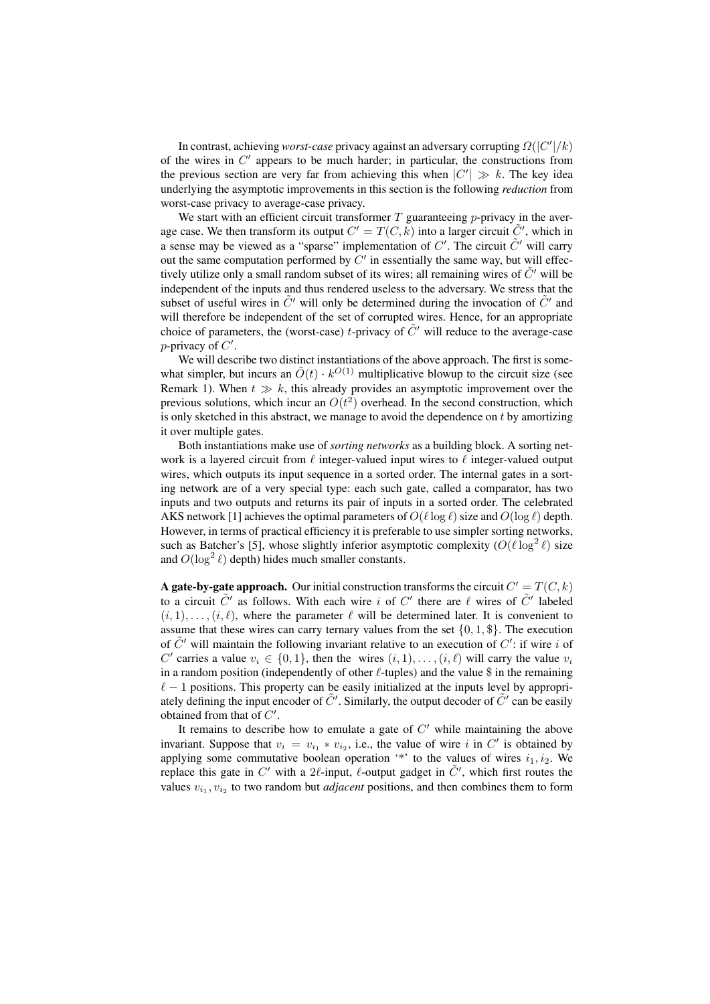In contrast, achieving *worst-case* privacy against an adversary corrupting  $\Omega(|C'|/k)$ of the wires in  $C'$  appears to be much harder; in particular, the constructions from the previous section are very far from achieving this when  $|C'| \gg k$ . The key idea underlying the asymptotic improvements in this section is the following *reduction* from worst-case privacy to average-case privacy.

We start with an efficient circuit transformer  $T$  guaranteeing p-privacy in the average case. We then transform its output  $C' = T(C, k)$  into a larger circuit  $\tilde{C}'$ , which in a sense may be viewed as a "sparse" implementation of  $C'$ . The circuit  $\tilde{C}'$  will carry out the same computation performed by  $C'$  in essentially the same way, but will effectively utilize only a small random subset of its wires; all remaining wires of  $\tilde{C}^{\prime}$  will be independent of the inputs and thus rendered useless to the adversary. We stress that the subset of useful wires in  $\tilde{C}'$  will only be determined during the invocation of  $\tilde{C}'$  and will therefore be independent of the set of corrupted wires. Hence, for an appropriate choice of parameters, the (worst-case) t-privacy of  $\tilde{C}^{\prime}$  will reduce to the average-case *p*-privacy of  $C'$ .

We will describe two distinct instantiations of the above approach. The first is somewhat simpler, but incurs an  $\tilde{O}(t) \cdot k^{O(1)}$  multiplicative blowup to the circuit size (see Remark 1). When  $t \gg k$ , this already provides an asymptotic improvement over the previous solutions, which incur an  $O(t^2)$  overhead. In the second construction, which is only sketched in this abstract, we manage to avoid the dependence on  $t$  by amortizing it over multiple gates.

Both instantiations make use of *sorting networks* as a building block. A sorting network is a layered circuit from  $\ell$  integer-valued input wires to  $\ell$  integer-valued output wires, which outputs its input sequence in a sorted order. The internal gates in a sorting network are of a very special type: each such gate, called a comparator, has two inputs and two outputs and returns its pair of inputs in a sorted order. The celebrated AKS network [1] achieves the optimal parameters of  $O(\ell \log \ell)$  size and  $O(\log \ell)$  depth. However, in terms of practical efficiency it is preferable to use simpler sorting networks, such as Batcher's [5], whose slightly inferior asymptotic complexity  $(O(\ell \log^2 \ell)$  size and  $O(\log^2 \ell)$  depth) hides much smaller constants.

A gate-by-gate approach. Our initial construction transforms the circuit  $C' = T(C, k)$ to a circuit  $\tilde{C}'$  as follows. With each wire i of  $C'$  there are  $\ell$  wires of  $\tilde{C}'$  labeled  $(i, 1), \ldots, (i, \ell)$ , where the parameter  $\ell$  will be determined later. It is convenient to assume that these wires can carry ternary values from the set  $\{0, 1, \$\}.$  The execution of  $\tilde{C}'$  will maintain the following invariant relative to an execution of  $C'$ : if wire i of C' carries a value  $v_i \in \{0, 1\}$ , then the wires  $(i, 1), \ldots, (i, \ell)$  will carry the value  $v_i$ in a random position (independently of other  $\ell$ -tuples) and the value  $\hat{\mathcal{S}}$  in the remaining  $\ell - 1$  positions. This property can be easily initialized at the inputs level by appropriately defining the input encoder of  $\tilde{C}'$ . Similarly, the output decoder of  $\tilde{C}'$  can be easily obtained from that of  $C'$ .

It remains to describe how to emulate a gate of  $C'$  while maintaining the above invariant. Suppose that  $v_i = v_{i_1} * v_{i_2}$ , i.e., the value of wire i in C' is obtained by applying some commutative boolean operation '\*' to the values of wires  $i_1, i_2$ . We replace this gate in C' with a 2 $\ell$ -input,  $\ell$ -output gadget in  $\tilde{C}'$ , which first routes the values  $v_{i_1}, v_{i_2}$  to two random but *adjacent* positions, and then combines them to form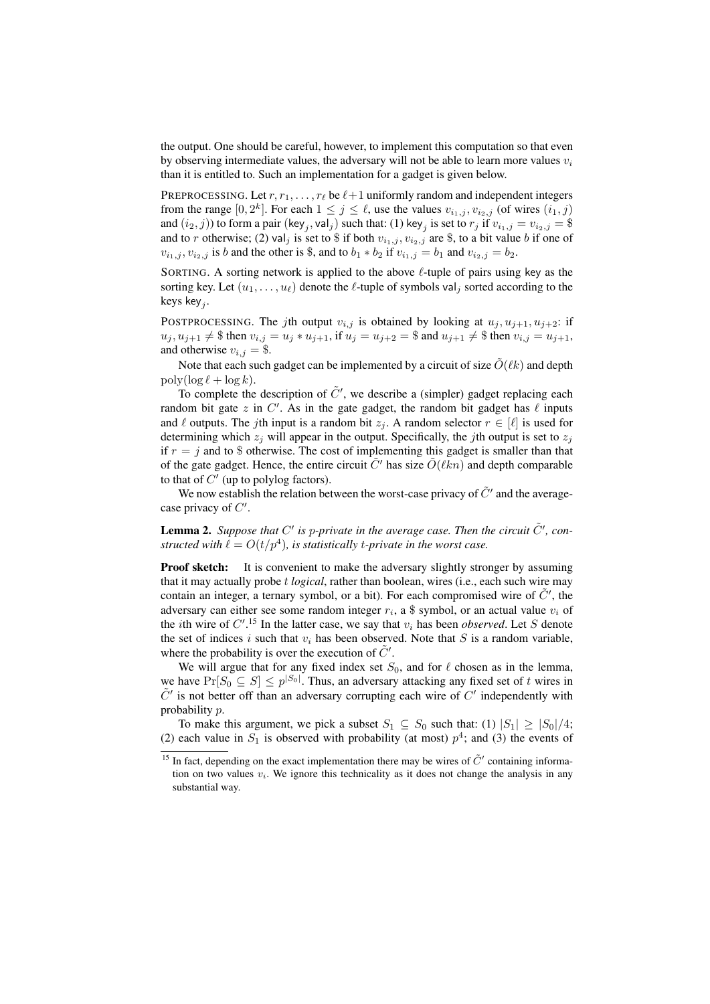the output. One should be careful, however, to implement this computation so that even by observing intermediate values, the adversary will not be able to learn more values  $v_i$ than it is entitled to. Such an implementation for a gadget is given below.

PREPROCESSING. Let  $r, r_1, \ldots, r_\ell$  be  $\ell+1$  uniformly random and independent integers from the range  $[0, 2^k]$ . For each  $1 \le j \le \ell$ , use the values  $v_{i_1,j}, v_{i_2,j}$  (of wires  $(i_1, j)$ ) and  $(i_2,j)$ ) to form a pair  $(\mathsf{key}_j,\mathsf{val}_j)$  such that: (1)  $\mathsf{key}_j$  is set to  $r_j$  if  $v_{i_1,j} = v_{i_2,j} = \$$ and to r otherwise; (2) val<sub>j</sub> is set to \$ if both  $v_{i_1,j}, v_{i_2,j}$  are \$, to a bit value b if one of  $v_{i_1,j}, v_{i_2,j}$  is b and the other is \$, and to  $b_1 * b_2$  if  $v_{i_1,j} = b_1$  and  $v_{i_2,j} = b_2$ .

SORTING. A sorting network is applied to the above  $\ell$ -tuple of pairs using key as the sorting key. Let  $(u_1, \ldots, u_\ell)$  denote the  $\ell$ -tuple of symbols val<sub>i</sub> sorted according to the keys key $_j$ .

POSTPROCESSING. The jth output  $v_{i,j}$  is obtained by looking at  $u_j, u_{j+1}, u_{j+2}$ : if  $u_j, u_{j+1} \neq \text{ and } u_{i,j} = u_j * u_{j+1}$ , if  $u_j = u_{j+2} = \text{ and } u_{j+1} \neq \text{ and } v_{i,j} = u_{j+1}$ , and otherwise  $v_{i,j} =$  \$.

Note that each such gadget can be implemented by a circuit of size  $\tilde{O}(\ell k)$  and depth  $poly(\log \ell + \log k)$ .

To complete the description of  $\tilde{C}'$ , we describe a (simpler) gadget replacing each random bit gate z in  $C'$ . As in the gate gadget, the random bit gadget has  $\ell$  inputs and  $\ell$  outputs. The jth input is a random bit  $z_j$ . A random selector  $r \in [\ell]$  is used for determining which  $z_i$  will appear in the output. Specifically, the *j*th output is set to  $z_i$ if  $r = i$  and to \$ otherwise. The cost of implementing this gadget is smaller than that of the gate gadget. Hence, the entire circuit  $\tilde{C}'$  has size  $\tilde{O}(\ell kn)$  and depth comparable to that of  $C'$  (up to polylog factors).

We now establish the relation between the worst-case privacy of  $\tilde{C}'$  and the averagecase privacy of  $C'$ .

**Lemma 2.** Suppose that  $C'$  is p-private in the average case. Then the circuit  $\tilde{C}'$ , con*structed with*  $\ell = O(t/p^4)$ , *is statistically t-private in the worst case.* 

**Proof sketch:** It is convenient to make the adversary slightly stronger by assuming that it may actually probe t *logical*, rather than boolean, wires (i.e., each such wire may contain an integer, a ternary symbol, or a bit). For each compromised wire of  $\tilde{C}'$ , the adversary can either see some random integer  $r_i$ , a \$ symbol, or an actual value  $v_i$  of the *i*th wire of  $C'.^{15}$  In the latter case, we say that  $v_i$  has been *observed*. Let S denote the set of indices i such that  $v_i$  has been observed. Note that S is a random variable, where the probability is over the execution of  $\tilde{C}'$ .

We will argue that for any fixed index set  $S_0$ , and for  $\ell$  chosen as in the lemma, we have  $Pr[S_0 \subseteq S] \leq p^{|S_0|}$ . Thus, an adversary attacking any fixed set of t wires in  $\tilde{C}'$  is not better off than an adversary corrupting each wire of  $C'$  independently with probability p.

To make this argument, we pick a subset  $S_1 \subseteq S_0$  such that: (1)  $|S_1| \geq |S_0|/4$ ; (2) each value in  $S_1$  is observed with probability (at most)  $p^4$ ; and (3) the events of

<sup>&</sup>lt;sup>15</sup> In fact, depending on the exact implementation there may be wires of  $\tilde{C}'$  containing information on two values  $v_i$ . We ignore this technicality as it does not change the analysis in any substantial way.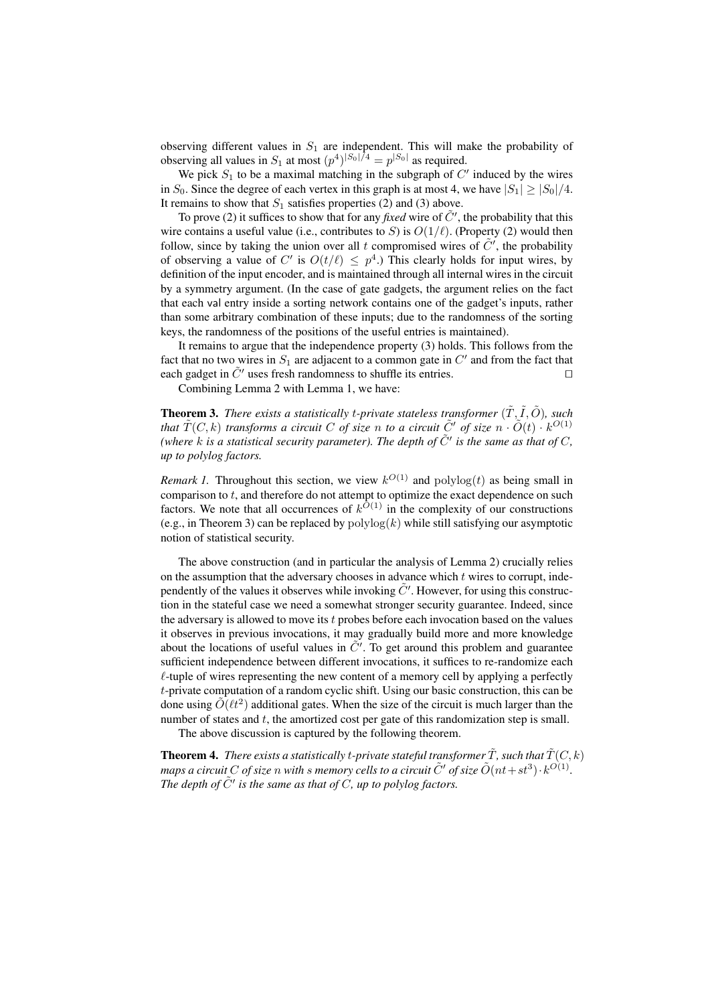observing different values in  $S_1$  are independent. This will make the probability of observing all values in  $S_1$  at most  $(p^4)^{|S_0|/4} = p^{|S_0|}$  as required.

We pick  $S_1$  to be a maximal matching in the subgraph of  $C'$  induced by the wires in  $S_0$ . Since the degree of each vertex in this graph is at most 4, we have  $|S_1| \ge |S_0|/4$ . It remains to show that  $S_1$  satisfies properties (2) and (3) above.

To prove (2) it suffices to show that for any *fixed* wire of  $\tilde{C}'$ , the probability that this wire contains a useful value (i.e., contributes to S) is  $O(1/\ell)$ . (Property (2) would then follow, since by taking the union over all t compromised wires of  $\tilde{C}'$ , the probability of observing a value of C' is  $O(t/\ell) \leq p^4$ .) This clearly holds for input wires, by definition of the input encoder, and is maintained through all internal wires in the circuit by a symmetry argument. (In the case of gate gadgets, the argument relies on the fact that each val entry inside a sorting network contains one of the gadget's inputs, rather than some arbitrary combination of these inputs; due to the randomness of the sorting keys, the randomness of the positions of the useful entries is maintained).

It remains to argue that the independence property (3) holds. This follows from the fact that no two wires in  $S_1$  are adjacent to a common gate in  $C'$  and from the fact that each gadget in  $\tilde{C}'$  uses fresh randomness to shuffle its entries.

Combining Lemma 2 with Lemma 1, we have:

**Theorem 3.** *There exists a statistically t-private stateless transformer*  $(\tilde{T}, \tilde{I}, \tilde{O})$ *, such that*  $\tilde{T}(C, k)$  *transforms a circuit* C *of size n to a circuit*  $\tilde{C}'$  *of size*  $n \cdot \tilde{O}(t) \cdot k^{O(1)}$ (where  $k$  is a statistical security parameter). The depth of  $\tilde{C}'$  is the same as that of  $C$ , *up to polylog factors.*

*Remark 1*. Throughout this section, we view  $k^{O(1)}$  and  $\text{polylog}(t)$  as being small in comparison to  $t$ , and therefore do not attempt to optimize the exact dependence on such factors. We note that all occurrences of  $k^{O(1)}$  in the complexity of our constructions (e.g., in Theorem 3) can be replaced by  $\text{polylog}(k)$  while still satisfying our asymptotic notion of statistical security.

The above construction (and in particular the analysis of Lemma 2) crucially relies on the assumption that the adversary chooses in advance which  $t$  wires to corrupt, independently of the values it observes while invoking  $\tilde{C}'$ . However, for using this construction in the stateful case we need a somewhat stronger security guarantee. Indeed, since the adversary is allowed to move its  $t$  probes before each invocation based on the values it observes in previous invocations, it may gradually build more and more knowledge about the locations of useful values in  $\tilde{C}^{\prime}$ . To get around this problem and guarantee sufficient independence between different invocations, it suffices to re-randomize each  $\ell$ -tuple of wires representing the new content of a memory cell by applying a perfectly  $t$ -private computation of a random cyclic shift. Using our basic construction, this can be done using  $\tilde{O}(\ell t^2)$  additional gates. When the size of the circuit is much larger than the number of states and  $t$ , the amortized cost per gate of this randomization step is small. The above discussion is captured by the following theorem.

**Theorem 4.** *There exists a statistically t-private stateful transformer*  $\tilde{T}$ *, such that*  $\tilde{T}(C, k)$ maps a circuit  $C$  of size  $n$  with  $s$  memory cells to a circuit  $\tilde{C}'$  of size  $\tilde{O}(nt+st^3)\cdot k^{O(1)}.$ The depth of  $\tilde{C}'$  is the same as that of  $C$ , up to polylog factors.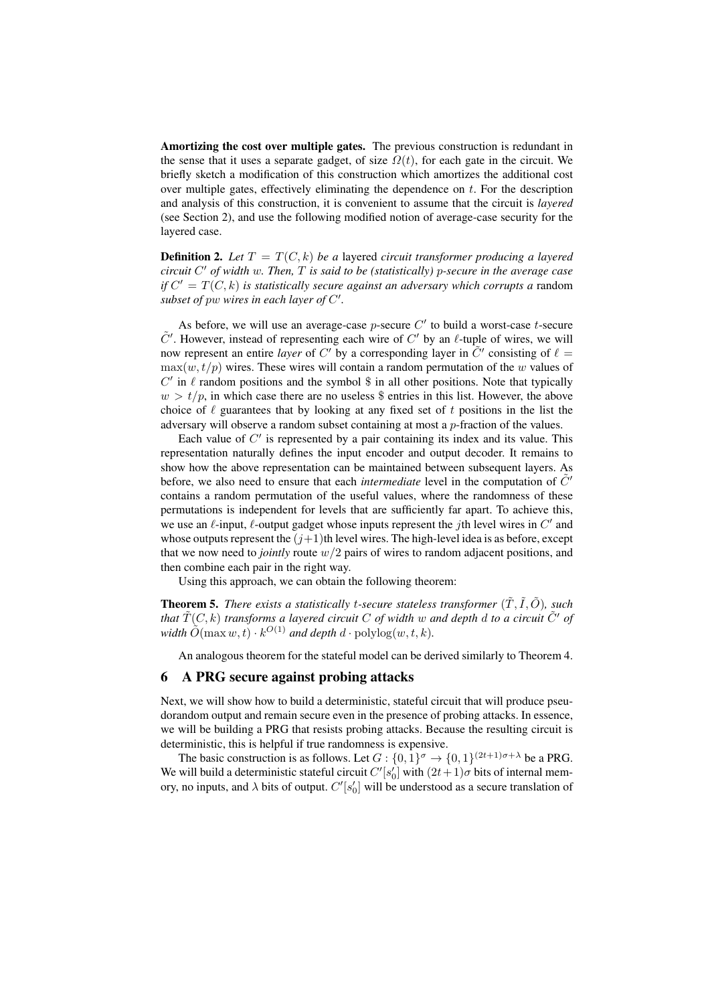Amortizing the cost over multiple gates. The previous construction is redundant in the sense that it uses a separate gadget, of size  $\Omega(t)$ , for each gate in the circuit. We briefly sketch a modification of this construction which amortizes the additional cost over multiple gates, effectively eliminating the dependence on  $t$ . For the description and analysis of this construction, it is convenient to assume that the circuit is *layered* (see Section 2), and use the following modified notion of average-case security for the layered case.

**Definition 2.** Let  $T = T(C, k)$  be a layered *circuit transformer producing a layered circuit* C <sup>0</sup> *of width* w*. Then,* T *is said to be (statistically)* p*-secure in the average case if*  $C' = T(C, k)$  *is statistically secure against an adversary which corrupts a* random subset of  $pw$  wires in each layer of  $C'$ .

As before, we will use an average-case  $p$ -secure  $C'$  to build a worst-case  $t$ -secure  $\tilde{C}'$ . However, instead of representing each wire of  $C'$  by an  $\ell$ -tuple of wires, we will now represent an entire *layer* of C' by a corresponding layer in  $\tilde{C}'$  consisting of  $\ell =$  $\max(w, t/p)$  wires. These wires will contain a random permutation of the w values of  $C'$  in  $\ell$  random positions and the symbol \$ in all other positions. Note that typically  $w > t/p$ , in which case there are no useless \$ entries in this list. However, the above choice of  $\ell$  guarantees that by looking at any fixed set of t positions in the list the adversary will observe a random subset containing at most a  $p$ -fraction of the values.

Each value of  $C'$  is represented by a pair containing its index and its value. This representation naturally defines the input encoder and output decoder. It remains to show how the above representation can be maintained between subsequent layers. As before, we also need to ensure that each *intermediate* level in the computation of C<sup>*n*</sup> contains a random permutation of the useful values, where the randomness of these permutations is independent for levels that are sufficiently far apart. To achieve this, we use an  $\ell$ -input,  $\ell$ -output gadget whose inputs represent the jth level wires in  $C'$  and whose outputs represent the  $(j+1)$ th level wires. The high-level idea is as before, except that we now need to *jointly* route  $w/2$  pairs of wires to random adjacent positions, and then combine each pair in the right way.

Using this approach, we can obtain the following theorem:

**Theorem 5.** *There exists a statistically t-secure stateless transformer*  $(\tilde{T}, \tilde{I}, \tilde{O})$ *, such that*  $\tilde{T}(C, k)$  *transforms a layered circuit* C *of width* w *and depth d to a circuit*  $\tilde{C}'$  *of* width  $\tilde{O}(\max w, t) \cdot k^{O(1)}$  *and depth d · polylog* $(w, t, k)$ *.* 

An analogous theorem for the stateful model can be derived similarly to Theorem 4.

### 6 A PRG secure against probing attacks

Next, we will show how to build a deterministic, stateful circuit that will produce pseudorandom output and remain secure even in the presence of probing attacks. In essence, we will be building a PRG that resists probing attacks. Because the resulting circuit is deterministic, this is helpful if true randomness is expensive.

The basic construction is as follows. Let  $G: \{0,1\}^{\sigma} \to \{0,1\}^{(2t+1)\sigma + \lambda}$  be a PRG. We will build a deterministic stateful circuit  $C'[s'_0]$  with  $(2t+1)\sigma$  bits of internal memory, no inputs, and  $\lambda$  bits of output.  $C'[s'_0]$  will be understood as a secure translation of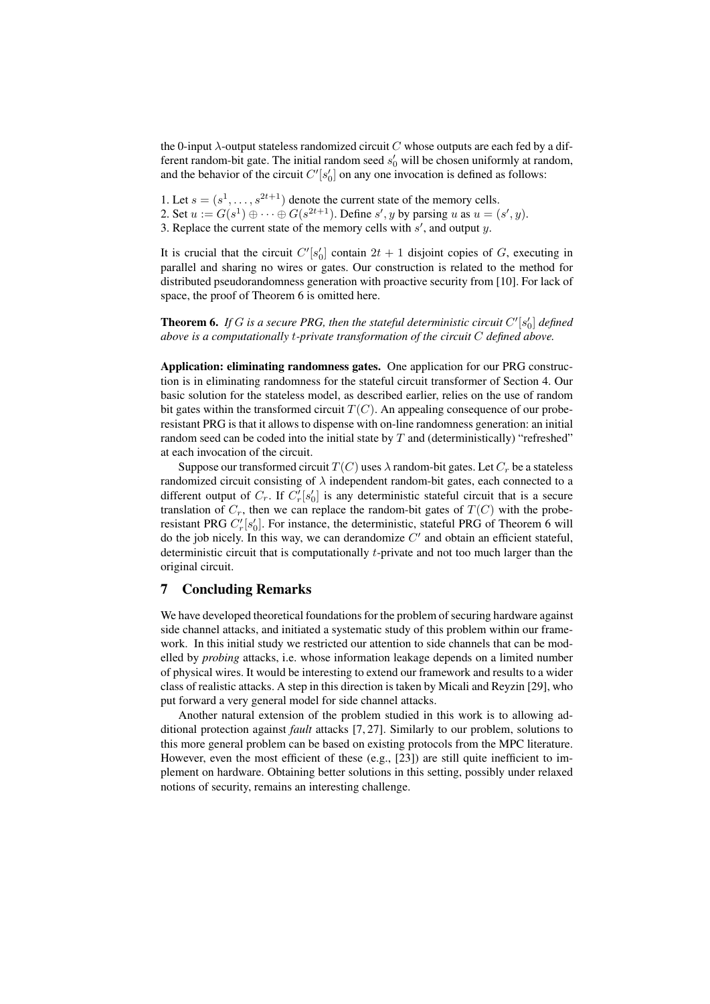the 0-input  $\lambda$ -output stateless randomized circuit C whose outputs are each fed by a different random-bit gate. The initial random seed  $s'_0$  will be chosen uniformly at random, and the behavior of the circuit  $C'[s'_0]$  on any one invocation is defined as follows:

- 1. Let  $s = (s^1, \ldots, s^{2t+1})$  denote the current state of the memory cells.
- 2. Set  $u := G(s^1) \oplus \cdots \oplus G(s^{2t+1})$ . Define  $s', y$  by parsing u as  $u = (s', y)$ .
- 3. Replace the current state of the memory cells with  $s'$ , and output  $y$ .

It is crucial that the circuit  $C'[s'_0]$  contain  $2t + 1$  disjoint copies of G, executing in parallel and sharing no wires or gates. Our construction is related to the method for distributed pseudorandomness generation with proactive security from [10]. For lack of space, the proof of Theorem 6 is omitted here.

**Theorem 6.** If G is a secure PRG, then the stateful deterministic circuit  $C'[s'_0]$  defined *above is a computationally* t*-private transformation of the circuit* C *defined above.*

Application: eliminating randomness gates. One application for our PRG construction is in eliminating randomness for the stateful circuit transformer of Section 4. Our basic solution for the stateless model, as described earlier, relies on the use of random bit gates within the transformed circuit  $T(C)$ . An appealing consequence of our proberesistant PRG is that it allows to dispense with on-line randomness generation: an initial random seed can be coded into the initial state by  $T$  and (deterministically) "refreshed" at each invocation of the circuit.

Suppose our transformed circuit  $T(C)$  uses  $\lambda$  random-bit gates. Let  $C_r$  be a stateless randomized circuit consisting of  $\lambda$  independent random-bit gates, each connected to a different output of  $C_r$ . If  $C'_r[s'_0]$  is any deterministic stateful circuit that is a secure translation of  $C_r$ , then we can replace the random-bit gates of  $T(C)$  with the proberesistant PRG  $C'_r[s'_0]$ . For instance, the deterministic, stateful PRG of Theorem 6 will do the job nicely. In this way, we can derandomize  $C'$  and obtain an efficient stateful, deterministic circuit that is computationally  $t$ -private and not too much larger than the original circuit.

# 7 Concluding Remarks

We have developed theoretical foundations for the problem of securing hardware against side channel attacks, and initiated a systematic study of this problem within our framework. In this initial study we restricted our attention to side channels that can be modelled by *probing* attacks, i.e. whose information leakage depends on a limited number of physical wires. It would be interesting to extend our framework and results to a wider class of realistic attacks. A step in this direction is taken by Micali and Reyzin [29], who put forward a very general model for side channel attacks.

Another natural extension of the problem studied in this work is to allowing additional protection against *fault* attacks [7, 27]. Similarly to our problem, solutions to this more general problem can be based on existing protocols from the MPC literature. However, even the most efficient of these (e.g., [23]) are still quite inefficient to implement on hardware. Obtaining better solutions in this setting, possibly under relaxed notions of security, remains an interesting challenge.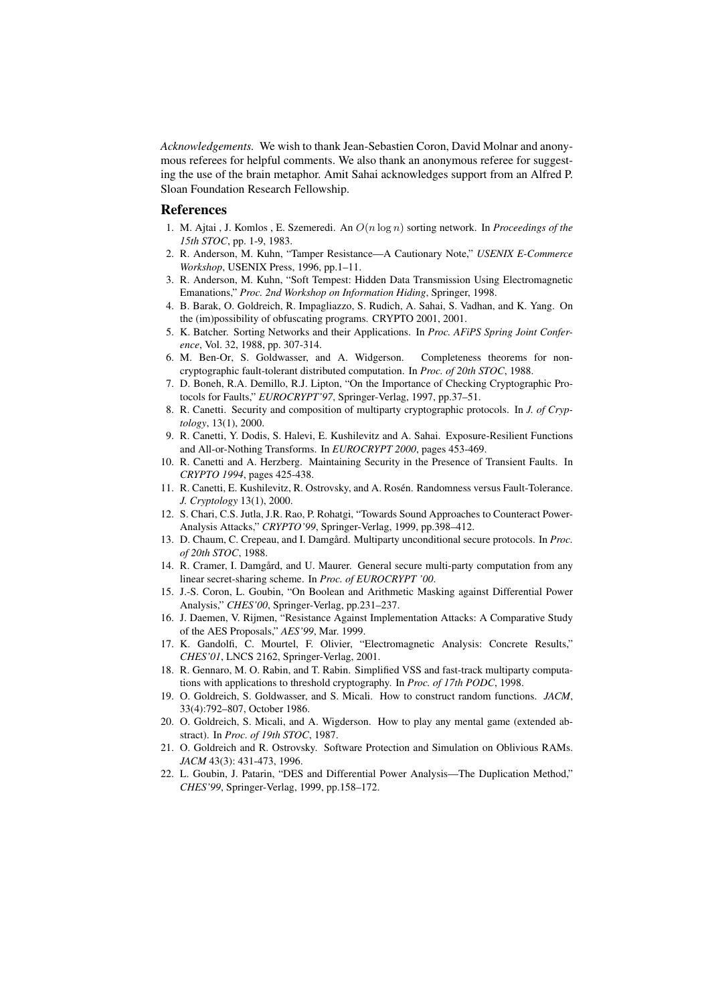*Acknowledgements.* We wish to thank Jean-Sebastien Coron, David Molnar and anonymous referees for helpful comments. We also thank an anonymous referee for suggesting the use of the brain metaphor. Amit Sahai acknowledges support from an Alfred P. Sloan Foundation Research Fellowship.

#### References

- 1. M. Ajtai , J. Komlos , E. Szemeredi. An O(n log n) sorting network. In *Proceedings of the 15th STOC*, pp. 1-9, 1983.
- 2. R. Anderson, M. Kuhn, "Tamper Resistance—A Cautionary Note," *USENIX E-Commerce Workshop*, USENIX Press, 1996, pp.1–11.
- 3. R. Anderson, M. Kuhn, "Soft Tempest: Hidden Data Transmission Using Electromagnetic Emanations," *Proc. 2nd Workshop on Information Hiding*, Springer, 1998.
- 4. B. Barak, O. Goldreich, R. Impagliazzo, S. Rudich, A. Sahai, S. Vadhan, and K. Yang. On the (im)possibility of obfuscating programs. CRYPTO 2001, 2001.
- 5. K. Batcher. Sorting Networks and their Applications. In *Proc. AFiPS Spring Joint Conference*, Vol. 32, 1988, pp. 307-314.
- 6. M. Ben-Or, S. Goldwasser, and A. Widgerson. Completeness theorems for noncryptographic fault-tolerant distributed computation. In *Proc. of 20th STOC*, 1988.
- 7. D. Boneh, R.A. Demillo, R.J. Lipton, "On the Importance of Checking Cryptographic Protocols for Faults," *EUROCRYPT'97*, Springer-Verlag, 1997, pp.37–51.
- 8. R. Canetti. Security and composition of multiparty cryptographic protocols. In *J. of Cryptology*, 13(1), 2000.
- 9. R. Canetti, Y. Dodis, S. Halevi, E. Kushilevitz and A. Sahai. Exposure-Resilient Functions and All-or-Nothing Transforms. In *EUROCRYPT 2000*, pages 453-469.
- 10. R. Canetti and A. Herzberg. Maintaining Security in the Presence of Transient Faults. In *CRYPTO 1994*, pages 425-438.
- 11. R. Canetti, E. Kushilevitz, R. Ostrovsky, and A. Rosén. Randomness versus Fault-Tolerance. *J. Cryptology* 13(1), 2000.
- 12. S. Chari, C.S. Jutla, J.R. Rao, P. Rohatgi, "Towards Sound Approaches to Counteract Power-Analysis Attacks," *CRYPTO'99*, Springer-Verlag, 1999, pp.398–412.
- 13. D. Chaum, C. Crepeau, and I. Damgård. Multiparty unconditional secure protocols. In Proc. *of 20th STOC*, 1988.
- 14. R. Cramer, I. Damgård, and U. Maurer. General secure multi-party computation from any linear secret-sharing scheme. In *Proc. of EUROCRYPT '00*.
- 15. J.-S. Coron, L. Goubin, "On Boolean and Arithmetic Masking against Differential Power Analysis," *CHES'00*, Springer-Verlag, pp.231–237.
- 16. J. Daemen, V. Rijmen, "Resistance Against Implementation Attacks: A Comparative Study of the AES Proposals," *AES'99*, Mar. 1999.
- 17. K. Gandolfi, C. Mourtel, F. Olivier, "Electromagnetic Analysis: Concrete Results," *CHES'01*, LNCS 2162, Springer-Verlag, 2001.
- 18. R. Gennaro, M. O. Rabin, and T. Rabin. Simplified VSS and fast-track multiparty computations with applications to threshold cryptography. In *Proc. of 17th PODC*, 1998.
- 19. O. Goldreich, S. Goldwasser, and S. Micali. How to construct random functions. *JACM*, 33(4):792–807, October 1986.
- 20. O. Goldreich, S. Micali, and A. Wigderson. How to play any mental game (extended abstract). In *Proc. of 19th STOC*, 1987.
- 21. O. Goldreich and R. Ostrovsky. Software Protection and Simulation on Oblivious RAMs. *JACM* 43(3): 431-473, 1996.
- 22. L. Goubin, J. Patarin, "DES and Differential Power Analysis—The Duplication Method," *CHES'99*, Springer-Verlag, 1999, pp.158–172.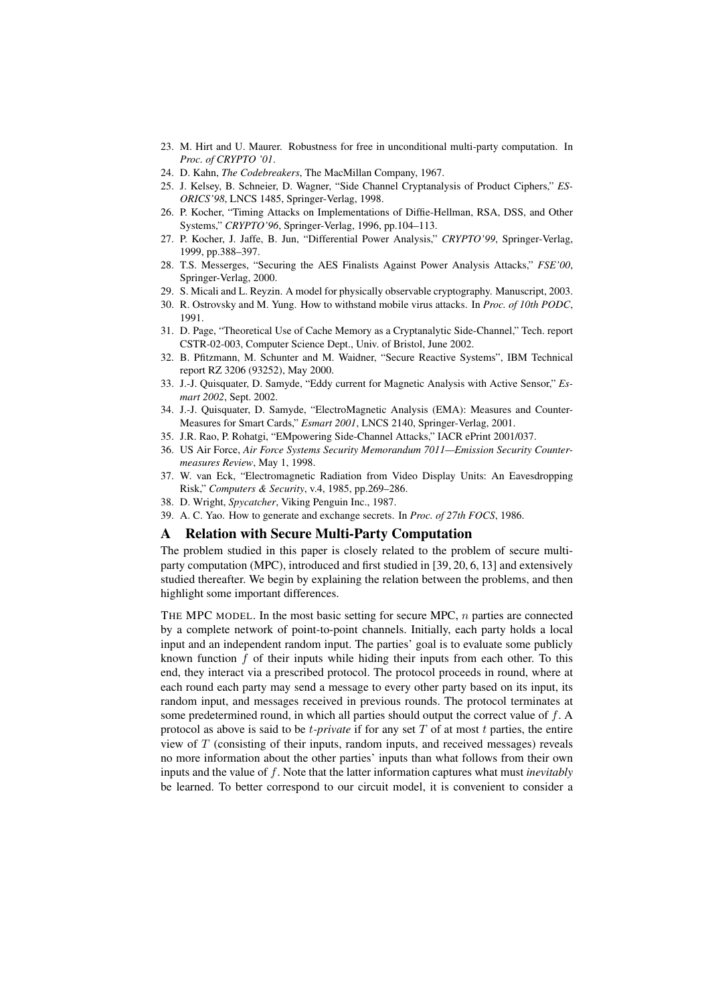- 23. M. Hirt and U. Maurer. Robustness for free in unconditional multi-party computation. In *Proc. of CRYPTO '01*.
- 24. D. Kahn, *The Codebreakers*, The MacMillan Company, 1967.
- 25. J. Kelsey, B. Schneier, D. Wagner, "Side Channel Cryptanalysis of Product Ciphers," *ES-ORICS'98*, LNCS 1485, Springer-Verlag, 1998.
- 26. P. Kocher, "Timing Attacks on Implementations of Diffie-Hellman, RSA, DSS, and Other Systems," *CRYPTO'96*, Springer-Verlag, 1996, pp.104–113.
- 27. P. Kocher, J. Jaffe, B. Jun, "Differential Power Analysis," *CRYPTO'99*, Springer-Verlag, 1999, pp.388–397.
- 28. T.S. Messerges, "Securing the AES Finalists Against Power Analysis Attacks," *FSE'00*, Springer-Verlag, 2000.
- 29. S. Micali and L. Reyzin. A model for physically observable cryptography. Manuscript, 2003.
- 30. R. Ostrovsky and M. Yung. How to withstand mobile virus attacks. In *Proc. of 10th PODC*, 1991.
- 31. D. Page, "Theoretical Use of Cache Memory as a Cryptanalytic Side-Channel," Tech. report CSTR-02-003, Computer Science Dept., Univ. of Bristol, June 2002.
- 32. B. Pfitzmann, M. Schunter and M. Waidner, "Secure Reactive Systems", IBM Technical report RZ 3206 (93252), May 2000.
- 33. J.-J. Quisquater, D. Samyde, "Eddy current for Magnetic Analysis with Active Sensor," *Esmart 2002*, Sept. 2002.
- 34. J.-J. Quisquater, D. Samyde, "ElectroMagnetic Analysis (EMA): Measures and Counter-Measures for Smart Cards," *Esmart 2001*, LNCS 2140, Springer-Verlag, 2001.
- 35. J.R. Rao, P. Rohatgi, "EMpowering Side-Channel Attacks," IACR ePrint 2001/037.
- 36. US Air Force, *Air Force Systems Security Memorandum 7011—Emission Security Countermeasures Review*, May 1, 1998.
- 37. W. van Eck, "Electromagnetic Radiation from Video Display Units: An Eavesdropping Risk," *Computers & Security*, v.4, 1985, pp.269–286.
- 38. D. Wright, *Spycatcher*, Viking Penguin Inc., 1987.
- 39. A. C. Yao. How to generate and exchange secrets. In *Proc. of 27th FOCS*, 1986.

#### A Relation with Secure Multi-Party Computation

The problem studied in this paper is closely related to the problem of secure multiparty computation (MPC), introduced and first studied in [39, 20, 6, 13] and extensively studied thereafter. We begin by explaining the relation between the problems, and then highlight some important differences.

THE MPC MODEL. In the most basic setting for secure MPC,  $n$  parties are connected by a complete network of point-to-point channels. Initially, each party holds a local input and an independent random input. The parties' goal is to evaluate some publicly known function  $f$  of their inputs while hiding their inputs from each other. To this end, they interact via a prescribed protocol. The protocol proceeds in round, where at each round each party may send a message to every other party based on its input, its random input, and messages received in previous rounds. The protocol terminates at some predetermined round, in which all parties should output the correct value of  $f$ . A protocol as above is said to be  $t$ -private if for any set  $T$  of at most  $t$  parties, the entire view of  $T$  (consisting of their inputs, random inputs, and received messages) reveals no more information about the other parties' inputs than what follows from their own inputs and the value of f. Note that the latter information captures what must *inevitably* be learned. To better correspond to our circuit model, it is convenient to consider a